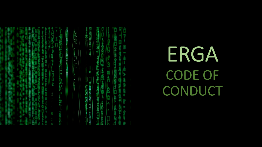ERGA CODE OF **CONDUCT** 

â, S d

 $rac{1}{2}$ գ<br>շ q<br>D

D-2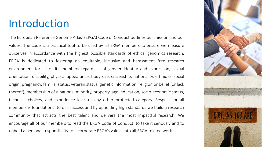## Introduction

The European Reference Genome Atlas' (ERGA) Code of Conduct outlines our mission and our values. The code is a practical tool to be used by all ERGA members to ensure we measure ourselves in accordance with the highest possible standards of ethical genomics research. ERGA is dedicated to fostering an equitable, inclusive and harassment free research environment for all of its members regardless of gender identity and expression, sexual orientation, disability, physical appearance, body size, citizenship, nationality, ethnic or social origin, pregnancy, familial status, veteran status, genetic information, religion or belief (or lack thereof), membership of a national minority, property, age, education, socio-economic status, technical choices, and experience level or any other protected category. Respect for all members is foundational to our success and by upholding high standards we build a research community that attracts the best talent and delivers the most impactful research. We encourage all of our members to read the ERGA Code of Conduct, to take it seriously and to uphold a personal responsibility to incorporate ERGA's values into all ERGA related work.

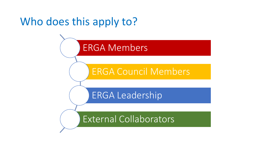# Who does this apply to?

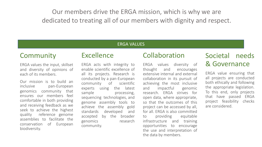Our members drive the ERGA mission, which is why we are dedicated to treating all of our members with dignity and respect.

#### ERGA VALUES

### **Community**

ERGA values the input, skillset and diversity of opinions of each of its members.

Our mission is to build an inclusive pan-European genomics community that ensures our members feel comfortable in both providing and receiving feedback as we seek to achieve the highest quality reference genome assemblies to facilitate the conservation of European biodiversity.

### Excellence

ERGA acts with integrity to enable scientific excellence of all its projects. Research is conducted by a pan-European community of scientific experts using the latest sample processing, sequencing technologies, and genome assembly tools to achieve the assembly gold standards developed and accepted by the broader genomics research community.

### Collaboration

ERGA values diversity of thought and encourages extensive internal and external collaboration in its pursuit of achieving the most inclusive and impactful genomic research. ERGA strives for open data, where appropriate, so that the outcomes of this project can be accessed by all, for all. ERGA is also committed to providing equitable infrastructure and training opportunities to encourage the use and interpretation of the data by members.

### Societal needs & Governance

ERGA value ensuring that all projects are conducted both ethically and following the appropriate legislation. To this end, only projects that have passed ERGA project feasibility checks are considered.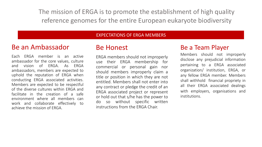The mission of ERGA is to promote the establishment of high quality reference genomes for the entire European eukaryote biodiversity

#### EXPECTATIONS OF ERGA MEMBERS

### Be an Ambassador

Each ERGA member is an active ambassador for the core values, culture and vision of ERGA. As ERGA ambassadors, members are expected to uphold the reputation of ERGA when conducting ERGA associated activities. Members are expected to be respectful of the diverse cultures within ERGA and facilitate in the creation of a safe environment where all members can work and collaborate effectively to achieve the mission of ERGA.

### Be Honest

ERGA members should not improperly use their ERGA membership for commercial or personal gain nor should members improperly claim a title or position in which they are not entitled. Members shall not enter into any contract or pledge the credit of an ERGA associated project or represent or hold out that s/he has the power to do so without specific written instructions from the ERGA Chair.

### Be a Team Player

Members should not improperly disclose any prejudicial information pertaining to a ERGA associated organization/ institution, ERGA, or any fellow ERGA member. Members shall withhold financial propriety in all their ERGA associated dealings with employers, organisations and institutions.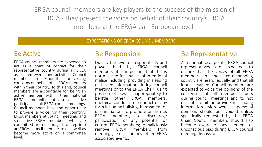ERGA council members are key players to the success of the mission of ERGA - they present the voice on behalf of their country's ERGA members at the ERGA pan-European level.

#### EXPECTATIONS OF ERGA COUNCIL MEMBERS

### Be Active

ERGA council members are expected to act as a point of contact for their representative country during all ERGA associated events and activities. Council members are responsible for voicing concerns on behalf of all ERGA members within their country. To this end, council members are accountable for being an active member within their national ERGA community but also an active participant in all ERGA council meetings. Council members have the opportunity. to provide a voice for their country's ERGA members at council meetings and so active ERGA members who are committed are encouraged to step into an ERGA council member role as well as become more active on a committee level.

### Be Responsible

Due to the level of responsibility and power held by ERGA council members, it is important that this is not misused for any act of intentional malice including; providing misleading or biased information during council meetings or to the ERGA Chair; using position of power inappropriately to belittle other ERGA members; unethical conduct; misconduct of any form including bullying, harassment or discrimination; to promote or dismiss ERGA members; to discourage participation of any potential or current ERGA members; to maliciously<br>remove FRGA members from remove ERGA members from meetings, emails or any other ERGA associated events.

### Be Representative

As national focal points, ERGA council representatives are expected ensure that the voices of all ERGA members in their corresponding country are heard, equally, and that all input is valued. Council members are expected to voice the opinions of the consensus of all member inputs during council meetings and to not misstate, omit or provide misleading information. Moreover, all personal opinions should be avoided unless specifically requested by the ERGA Chair. Council members should also become aware of any element of unconscious bias during ERGA council meeting discussions.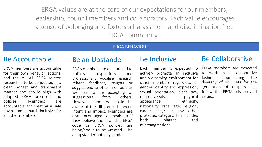ERGA values are at the core of our expectations for our members, leadership, council members and collaborators. Each value encourages a sense of belonging and fosters a harassment and discrimination free ERGA community .

#### ERGA BEHAVIOUR

### Be Accountable

ERGA members are accountable for their own behavior, actions, and results. All ERGA related research is to be conducted in a clear, honest and transparent manner and should align with adopted ERGA protocols and policies. Members are accountable for creating a safe environment that is inclusive for all other members.

### Be an Upstander

ERGA members are encouraged to politely, respectfully and professionally vocalise research related feedback, insights or suggestions to other members as well as to be accepting of suggestions from others. However, members should be aware of the difference between intent and impact. Members are also encouraged to speak up if they believe the law, the ERGA code or ERGA policies are being/about to be violated  $-$  be an upstander not a bystander!

### Be Inclusive

Each member is expected to actively promote an inclusive and welcoming environment for other members regardless of gender identity and expression, sexual orientation, disabilities, neurodiversity, physical appearance, ethnicity, nationality, race, age, religion, career stage or any other protected category. This includes both blatant and microaggressions.

### Be Collaborative

ERGA members are expected to work in a collaborative fashion, appreciating the diversity of skill sets for the generation of outputs that follow the ERGA mission and values.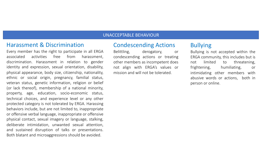#### UNACCEPTABLE BEHAVIOUR

#### Harassment & Discrimination

Every member has the right to participate in all ERGA associated activities free from harassment, discrimination. Harassment in relation to gender identity and expression, sexual orientation, disability, physical appearance, body size, citizenship, nationality, ethnic or social origin, pregnancy, familial status, veteran status, genetic information, religion or belief (or lack thereof), membership of a national minority, property, age, education, socio-economic status, technical choices, and experience level or any other protected category is not tolerated by ERGA. Harassing behaviors include, but are not limited to, inappropriate or offensive verbal language, inappropriate or offensive physical contact, sexual imagery or language, stalking, deliberate intimidation, unwanted sexual attention, and sustained disruption of talks or presentations. Both blatant and microaggressions should be avoided.

#### Condescending Actions

Belittling, derogatory, or condescending actions or treating other members as incompetent does not align with ERGA's values or mission and will not be tolerated.

### Bullying

Bullying is not accepted within the ERGA community, this includes but is not limited to threatening, frightening, humiliating, or intimidating other members with abusive words or actions, both in person or online.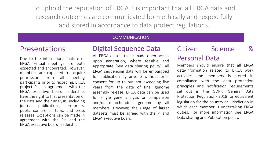To uphold the reputation of ERGA it is important that all ERGA data and research outcomes are communicated both ethically and respectfully and stored in accordance to data protect regulations.

#### **COMMUNICATION**

### Presentations

Due to the international nature of ERGA, virtual meetings are both expected and encouraged. However, members are expected to acquire permission from all meeting participants prior to recording. ERGA project PIs, in agreement with the ERGA executive board leadership, have the right to first presentation of the data and their analysis, including journal publications, pre-prints, public conference talks, and press releases. Exceptions can be made in agreement with the PIs and the ERGA executive board leadership.

### Digital Sequence Data

All ERGA data is to be made open access upon generation, where feasible and appropriate (See data sharing policy). All ERGA sequencing data will be embargoed for publication by anyone without prior consent for up to but not exceeding five years from the date of final genome assembly release. ERGA data can be used for single gene analysis or comparison and/or mitochondrial genome by all members. However, the usage of larger datasets must be agreed with the PI and ERGA executive board.

## Citizen Science & Personal Data

Members should ensure that all ERGA data/information related to ERGA work activities and members is stored in compliance with the data protection principles and notification requirements set out in the GDPR (General Data Protection Regulation) 2018, or equivalent legislation for the country or jurisdiction in which each member is undertaking ERGA duties. For more information see ERGA Data sharing and Publication policy.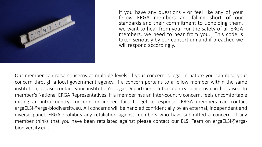

If you have any questions - or feel like any of your fellow ERGA members are falling short of our standards and their commitment to upholding them, we want to hear from you. For the safety of all ERGA members, we need to hear from you. This code is taken seriously by our consortium and if breached we will respond accordingly.

Our member can raise concerns at multiple levels. If your concern is legal in nature you can raise your concern through a local government agency. If a concern pertains to a fellow member within the same institution, please contact your institution's Legal Department. Intra-country concerns can be raised to member's National ERGA Representatives. If a member has an inter-country concern, feels uncomfortable raising an intra-country concern, or indeed fails to get a response, ERGA members can contact ergaELSI@erga-biodiversity.eu. All concerns will be handled confidentially by an external, independent and diverse panel. ERGA prohibits any retaliation against members who have submitted a concern. If any member thinks that you have been retaliated against please contact our ELSI Team on ergaELSI@ergabiodiversity.eu .